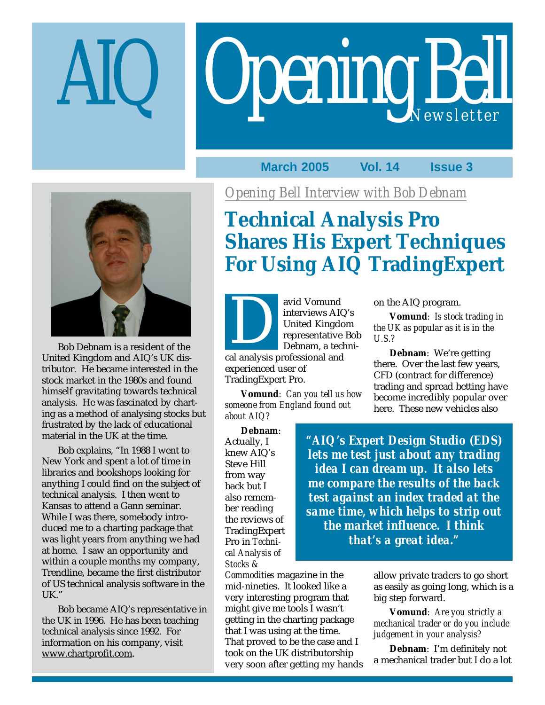# Opening Bell

## **March 2005 Vol. 14 Issue 3**



Bob Debnam is a resident of the United Kingdom and AIQ's UK distributor. He became interested in the stock market in the 1980s and found himself gravitating towards technical analysis. He was fascinated by charting as a method of analysing stocks but frustrated by the lack of educational material in the UK at the time.

Bob explains, "In 1988 I went to New York and spent a lot of time in libraries and bookshops looking for anything I could find on the subject of technical analysis. I then went to Kansas to attend a Gann seminar. While I was there, somebody introduced me to a charting package that was light years from anything we had at home. I saw an opportunity and within a couple months my company, Trendline, became the first distributor of US technical analysis software in the UK."

Bob became AIQ's representative in the UK in 1996. He has been teaching technical analysis since 1992. For information on his company, visit www.chartprofit.com.

*Opening Bell Interview with Bob Debnam*

# **Technical Analysis Pro Shares His Expert Techniques For Using AIQ TradingExpert**

avid Vomund interviews AIQ's United Kingdom representative Bob Debnam, a techniavid Volnund<br>
interviews AIG<br>
United Kingdo<br>
representative<br>
Debnam, a tecl<br>
cal analysis professional and

experienced user of TradingExpert Pro.

**Vomund***: Can you tell us how someone from England found out about AIQ?*

on the AIQ program.

**Vomund***: Is stock trading in the UK as popular as it is in the U.S.?*

**Debnam**: We're getting there. Over the last few years, CFD (contract for difference) trading and spread betting have become incredibly popular over here. These new vehicles also

**Debnam**:

Actually, I knew AIQ's Steve Hill from way back but I also remember reading the reviews of TradingExpert Pro in *Technical Analysis of Stocks &*

*Commodities* magazine in the mid-nineties. It looked like a very interesting program that might give me tools I wasn't getting in the charting package that I was using at the time. That proved to be the case and I took on the UK distributorship very soon after getting my hands

*"AIQ's Expert Design Studio (EDS) lets me test just about any trading idea I can dream up. It also lets me compare the results of the back test against an index traded at the same time, which helps to strip out the market influence. I think that's a great idea."*

> allow private traders to go short as easily as going long, which is a big step forward.

**Vomund***: Are you strictly a mechanical trader or do you include judgement in your analysis?*

**Debnam**: I'm definitely not a mechanical trader but I do a lot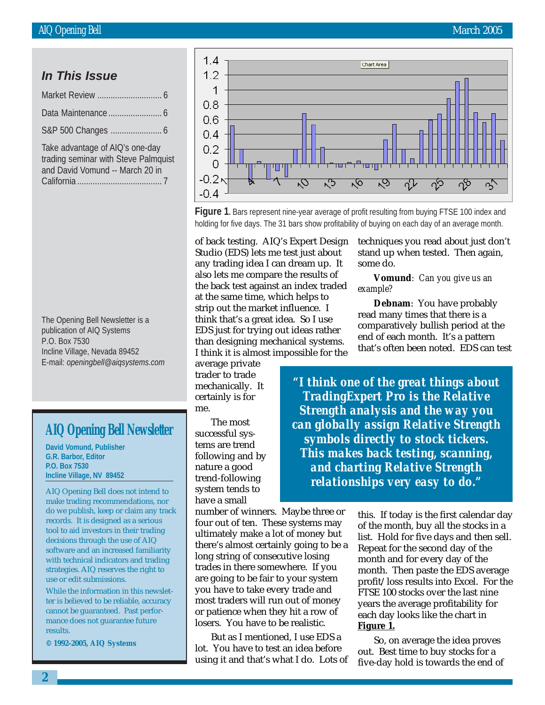#### **In This Issue**

| Take advantage of AIQ's one-day<br>trading seminar with Steve Palmouist |
|-------------------------------------------------------------------------|

trading seminar with Steve Palmquist and David Vomund -- March 20 in California ...................................... 7

The Opening Bell Newsletter is a publication of AIQ Systems P.O. Box 7530 Incline Village, Nevada 89452 E-mail: *openingbell@aiqsystems.com*

## **AIQ Opening Bell Newsletter**

**David Vomund, Publisher G.R. Barbor, Editor P.O. Box 7530 Incline Village, NV 89452**

AIQ Opening Bell does not intend to make trading recommendations, nor do we publish, keep or claim any track records. It is designed as a serious tool to aid investors in their trading decisions through the use of AIQ software and an increased familiarity with technical indicators and trading strategies. AIQ reserves the right to use or edit submissions.

While the information in this newsletter is believed to be reliable, accuracy cannot be guaranteed. Past performance does not guarantee future results.

**© 1992-2005, AIQ Systems**



**Figure 1.** Bars represent nine-year average of profit resulting from buying FTSE 100 index and holding for five days. The 31 bars show profitability of buying on each day of an average month.

of back testing. AIQ's Expert Design Studio (EDS) lets me test just about any trading idea I can dream up. It also lets me compare the results of the back test against an index traded at the same time, which helps to strip out the market influence. I think that's a great idea. So I use EDS just for trying out ideas rather than designing mechanical systems. I think it is almost impossible for the

average private trader to trade mechanically. It certainly is for me.

The most successful systems are trend following and by nature a good trend-following system tends to have a small

number of winners. Maybe three or four out of ten. These systems may ultimately make a lot of money but there's almost certainly going to be a long string of consecutive losing trades in there somewhere. If you are going to be fair to your system you have to take every trade and most traders will run out of money or patience when they hit a row of losers. You have to be realistic.

But as I mentioned, I use EDS a lot. You have to test an idea before using it and that's what I do. Lots of techniques you read about just don't stand up when tested. Then again, some do.

**Vomund***: Can you give us an example?*

**Debnam**: You have probably read many times that there is a comparatively bullish period at the end of each month. It's a pattern that's often been noted. EDS can test

*"I think one of the great things about TradingExpert Pro is the Relative Strength analysis and the way you can globally assign Relative Strength symbols directly to stock tickers. This makes back testing, scanning, and charting Relative Strength relationships very easy to do."*

> this. If today is the first calendar day of the month, buy all the stocks in a list. Hold for five days and then sell. Repeat for the second day of the month and for every day of the month. Then paste the EDS average profit/loss results into Excel. For the FTSE 100 stocks over the last nine years the average profitability for each day looks like the chart in **Figure 1.**

So, on average the idea proves out. Best time to buy stocks for a five-day hold is towards the end of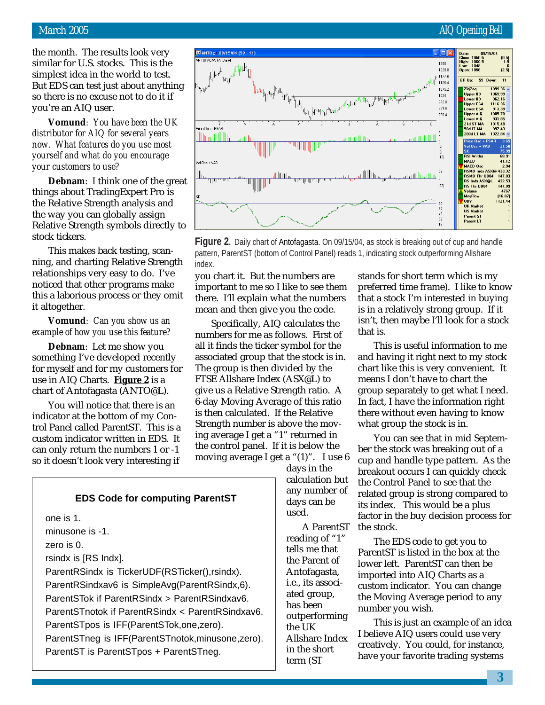#### March 2005 **AIQ Opening Bell**

the month. The results look very similar for U.S. stocks. This is the simplest idea in the world to test. But EDS can test just about anything so there is no excuse not to do it if you're an AIQ user.

**Vomund***: You have been the UK distributor for AIQ for several years now. What features do you use most yourself and what do you encourage your customers to use?*

**Debnam**: I think one of the great things about TradingExpert Pro is the Relative Strength analysis and the way you can globally assign Relative Strength symbols directly to stock tickers.

This makes back testing, scanning, and charting Relative Strength relationships very easy to do. I've noticed that other programs make this a laborious process or they omit it altogether.

#### **Vomund***: Can you show us an example of how you use this feature?*

**Debnam**: Let me show you something I've developed recently for myself and for my customers for use in AIQ Charts. **Figure 2** is a chart of Antofagasta (ANTO@L).

You will notice that there is an indicator at the bottom of my Control Panel called ParentST. This is a custom indicator written in EDS. It can only return the numbers 1 or -1 so it doesn't look very interesting if



**Figure 2.** Daily chart of Antofagasta. On 09/15/04, as stock is breaking out of cup and handle pattern, ParentST (bottom of Control Panel) reads 1, indicating stock outperforming Allshare index.

you chart it. But the numbers are important to me so I like to see them there. I'll explain what the numbers mean and then give you the code.

Specifically, AIQ calculates the numbers for me as follows. First of all it finds the ticker symbol for the associated group that the stock is in. The group is then divided by the FTSE Allshare Index (ASX@L) to give us a Relative Strength ratio. A 6-day Moving Average of this ratio is then calculated. If the Relative Strength number is above the moving average I get a "1" returned in the control panel. If it is below the moving average I get a "(1)". I use 6

days in the calculation but any number of days can be used.

A ParentST reading of "1" tells me that the Parent of Antofagasta, i.e., its associated group, has been outperforming the UK Allshare Index in the short term (ST

stands for short term which is my preferred time frame). I like to know that a stock I'm interested in buying is in a relatively strong group. If it isn't, then maybe I'll look for a stock that is.

This is useful information to me and having it right next to my stock chart like this is very convenient. It means I don't have to chart the group separately to get what I need. In fact, I have the information right there without even having to know what group the stock is in.

You can see that in mid September the stock was breaking out of a cup and handle type pattern. As the breakout occurs I can quickly check the Control Panel to see that the related group is strong compared to its index. This would be a plus factor in the buy decision process for the stock.

The EDS code to get you to ParentST is listed in the box at the lower left. ParentST can then be imported into AIQ Charts as a custom indicator. You can change the Moving Average period to any number you wish.

This is just an example of an idea I believe AIQ users could use very creatively. You could, for instance, have your favorite trading systems

#### **EDS Code for computing ParentST**

one is 1.

minusone is -1.

zero is 0.

rsindx is [RS Indx].

ParentRSindx is TickerUDF(RSTicker(),rsindx). ParentRSindxav6 is SimpleAvg(ParentRSindx,6). ParentSTok if ParentRSindx > ParentRSindxav6. ParentSTnotok if ParentRSindx < ParentRSindxav6. ParentSTpos is IFF(ParentSTok,one,zero). ParentSTneg is IFF(ParentSTnotok,minusone,zero). ParentST is ParentSTpos + ParentSTneg.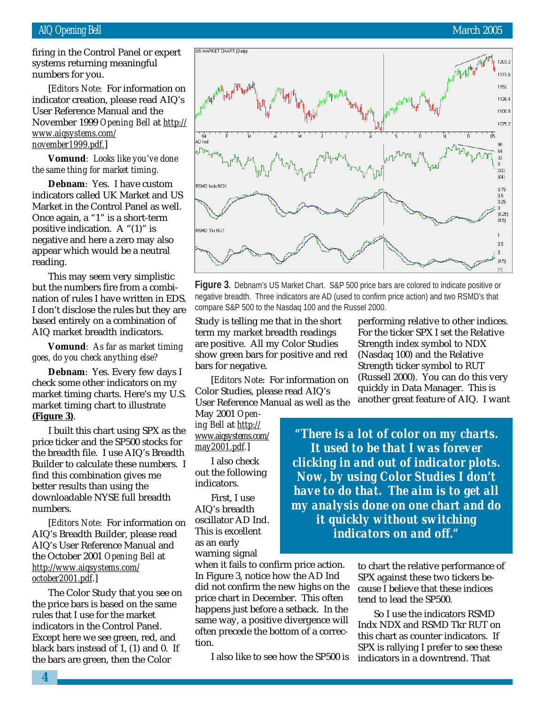firing in the Control Panel or expert systems returning meaningful numbers for you.

[*Editors Note*: For information on indicator creation, please read AIQ's User Reference Manual and the November 1999 *Opening Bell* at *http:// www.aiqsystems.com/ november1999.pdf.*]

**Vomund***: Looks like you've done the same thing for market timing.*

**Debnam**: Yes. I have custom indicators called UK Market and US Market in the Control Panel as well. Once again, a "1" is a short-term positive indication. A " $(1)$ " is negative and here a zero may also appear which would be a neutral reading.

This may seem very simplistic but the numbers fire from a combination of rules I have written in EDS. I don't disclose the rules but they are based entirely on a combination of AIQ market breadth indicators.

**Vomund***: As far as market timing goes, do you check anything else?*

**Debnam**: Yes. Every few days I check some other indicators on my market timing charts. Here's my U.S. market timing chart to illustrate **(Figure 3)**.

I built this chart using SPX as the price ticker and the SP500 stocks for the breadth file. I use AIQ's Breadth Builder to calculate these numbers. I find this combination gives me better results than using the downloadable NYSE full breadth numbers.

[*Editors Note*: For information on AIQ's Breadth Builder, please read AIQ's User Reference Manual and the October 2001 *Opening Bell* at *http://www.aiqsystems.com/ october2001.pdf*.]

The Color Study that you see on the price bars is based on the same rules that I use for the market indicators in the Control Panel. Except here we see green, red, and black bars instead of 1, (1) and 0. If the bars are green, then the Color

1203.2 1177.6 1152 1126.4 11008 1075.2 'nΕ 32  $\Omega$  $(32)$ RSMD Indx NDX 0.75  $0.5<sub>1</sub>$ 0.25  $\Omega$ m 251  $(0.5)$ RSMD Tkr RUT  $0.5$  $\,0\,$  $(0.5)$ 

**Figure 3.** Debnam's US Market Chart. S&P 500 price bars are colored to indicate positive or negative breadth. Three indicators are AD (used to confirm price action) and two RSMD's that compare S&P 500 to the Nasdaq 100 and the Russel 2000.

Study is telling me that in the short term my market breadth readings are positive. All my Color Studies show green bars for positive and red bars for negative.

[*Editors Note*: For information on Color Studies, please read AIQ's User Reference Manual as well as the

May 2001 *Opening Bell* at *http:// www.aiqsystems.com/ may2001.pdf.*]

US MARKET CHART (Daily)

I also check out the following indicators.

First, I use AIQ's breadth oscillator AD Ind. This is excellent as an early warning signal

when it fails to confirm price action. In Figure 3, notice how the AD Ind did not confirm the new highs on the price chart in December. This often happens just before a setback. In the same way, a positive divergence will often precede the bottom of a correction.

I also like to see how the SP500 is

performing relative to other indices. For the ticker SPX I set the Relative Strength index symbol to NDX (Nasdaq 100) and the Relative Strength ticker symbol to RUT (Russell 2000). You can do this very quickly in Data Manager. This is another great feature of AIQ. I want

*"There is a lot of color on my charts. It used to be that I was forever clicking in and out of indicator plots. Now, by using Color Studies I don't have to do that. The aim is to get all my analysis done on one chart and do it quickly without switching indicators on and off."*

> to chart the relative performance of SPX against these two tickers because I believe that these indices tend to lead the SP500.

So I use the indicators RSMD Indx NDX and RSMD Tkr RUT on this chart as counter indicators. If SPX is rallying I prefer to see these indicators in a downtrend. That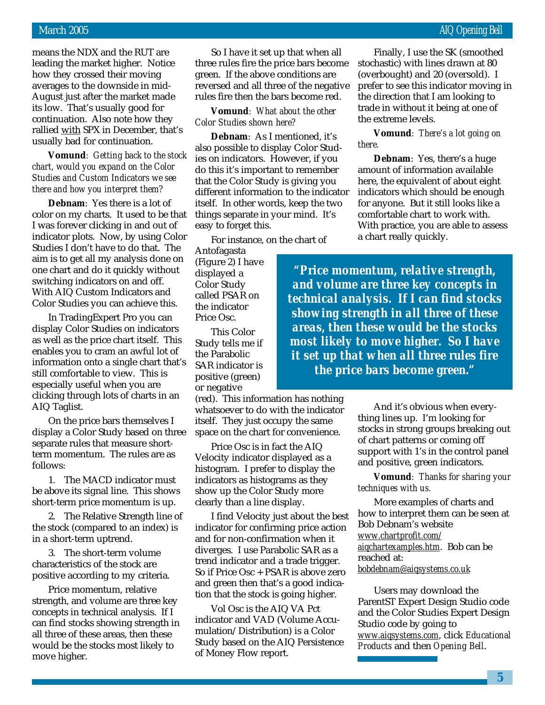means the NDX and the RUT are leading the market higher. Notice how they crossed their moving averages to the downside in mid-August just after the market made its low. That's usually good for continuation. Also note how they rallied with SPX in December, that's usually bad for continuation.

**Vomund***: Getting back to the stock chart, would you expand on the Color Studies and Custom Indicators we see there and how you interpret them?*

**Debnam**: Yes there is a lot of color on my charts. It used to be that I was forever clicking in and out of indicator plots. Now, by using Color Studies I don't have to do that. The aim is to get all my analysis done on one chart and do it quickly without switching indicators on and off. With AIQ Custom Indicators and Color Studies you can achieve this.

In TradingExpert Pro you can display Color Studies on indicators as well as the price chart itself. This enables you to cram an awful lot of information onto a single chart that's still comfortable to view. This is especially useful when you are clicking through lots of charts in an AIQ Taglist.

On the price bars themselves I display a Color Study based on three separate rules that measure shortterm momentum. The rules are as follows:

1. The MACD indicator must be above its signal line. This shows short-term price momentum is up.

2. The Relative Strength line of the stock (compared to an index) is in a short-term uptrend.

3. The short-term volume characteristics of the stock are positive according to my criteria.

Price momentum, relative strength, and volume are three key concepts in technical analysis. If I can find stocks showing strength in all three of these areas, then these would be the stocks most likely to move higher.

So I have it set up that when all three rules fire the price bars become green. If the above conditions are reversed and all three of the negative rules fire then the bars become red.

**Vomund***: What about the other Color Studies shown here?*

**Debnam**: As I mentioned, it's also possible to display Color Studies on indicators. However, if you do this it's important to remember that the Color Study is giving you different information to the indicator itself. In other words, keep the two things separate in your mind. It's easy to forget this.

For instance, on the chart of

Antofagasta (Figure 2) I have displayed a Color Study called PSAR on the indicator Price Osc.

This Color Study tells me if the Parabolic SAR indicator is positive (green) or negative

(red). This information has nothing whatsoever to do with the indicator itself. They just occupy the same space on the chart for convenience.

Price Osc is in fact the AIQ Velocity indicator displayed as a histogram. I prefer to display the indicators as histograms as they show up the Color Study more clearly than a line display.

I find Velocity just about the best indicator for confirming price action and for non-confirmation when it diverges. I use Parabolic SAR as a trend indicator and a trade trigger. So if Price Osc + PSAR is above zero and green then that's a good indication that the stock is going higher.

Vol Osc is the AIQ VA Pct indicator and VAD (Volume Accumulation/Distribution) is a Color Study based on the AIQ Persistence of Money Flow report.

Finally, I use the SK (smoothed stochastic) with lines drawn at 80 (overbought) and 20 (oversold). I prefer to see this indicator moving in the direction that I am looking to trade in without it being at one of the extreme levels.

#### **Vomund***: There's a lot going on there.*

**Debnam**: Yes, there's a huge amount of information available here, the equivalent of about eight indicators which should be enough for anyone. But it still looks like a comfortable chart to work with. With practice, you are able to assess a chart really quickly.

*"Price momentum, relative strength, and volume are three key concepts in technical analysis. If I can find stocks showing strength in all three of these areas, then these would be the stocks most likely to move higher. So I have it set up that when all three rules fire the price bars become green."*

> And it's obvious when everything lines up. I'm looking for stocks in strong groups breaking out of chart patterns or coming off support with 1's in the control panel and positive, green indicators.

> **Vomund***: Thanks for sharing your techniques with us.*

> More examples of charts and how to interpret them can be seen at Bob Debnam's website *www.chartprofit.com/ aiqchartexamples.htm*. Bob can be reached at: *bobdebnam@aiqsystems.co.uk*

Users may download the ParentST Expert Design Studio code and the Color Studies Expert Design Studio code by going to *www.aiqsystems.com*, click *Educational Products* and then *Opening Bell*.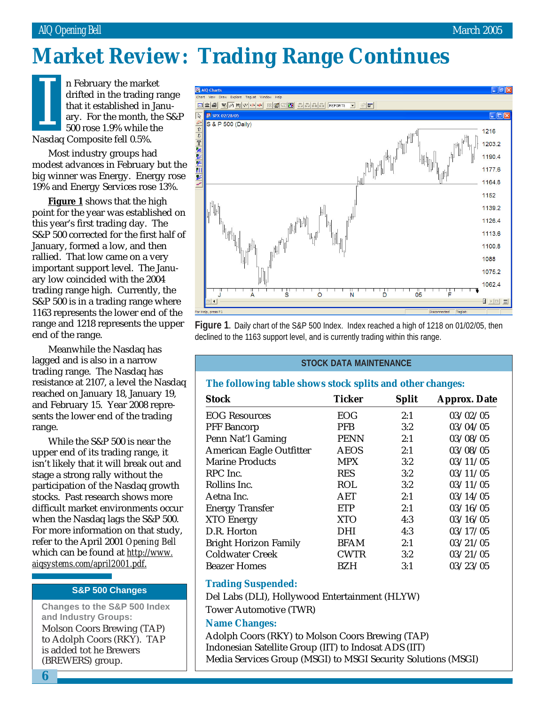# **Market Review: Trading Range Continues**

n February the market drifted in the trading range that it established in January. For the month, the S&P 500 rose 1.9% while the In February the mark<br>drifted in the trading<br>that it established in<br>ary. For the month,<br>500 rose 1.9% while t<br>Nasdaq Composite fell 0.5%.

Most industry groups had modest advances in February but the big winner was Energy. Energy rose 19% and Energy Services rose 13%.

**Figure 1** shows that the high point for the year was established on this year's first trading day. The S&P 500 corrected for the first half of January, formed a low, and then rallied. That low came on a very important support level. The January low coincided with the 2004 trading range high. Currently, the S&P 500 is in a trading range where 1163 represents the lower end of the range and 1218 represents the upper end of the range.

Meanwhile the Nasdaq has lagged and is also in a narrow trading range. The Nasdaq has resistance at 2107, a level the Nasdaq reached on January 18, January 19, and February 15. Year 2008 represents the lower end of the trading range.

While the S&P 500 is near the upper end of its trading range, it isn't likely that it will break out and stage a strong rally without the participation of the Nasdaq growth stocks. Past research shows more difficult market environments occur when the Nasdaq lags the S&P 500. For more information on that study, refer to the April 2001 *Opening Bell* which can be found at *http://www. aiqsystems.com/april2001.pdf*.

#### **S&P 500 Changes**

Molson Coors Brewing (TAP) to Adolph Coors (RKY). TAP is added tot he Brewers **Changes to the S&P 500 Index and Industry Groups:**

(BREWERS) group.

AIQ Charts Draw Explore TagList Windo **데호종 W @ M W + + + ER 2 2 8 8 8 4 8 4 8 8 8 8 8 8 8 3 4 8 EDISPX 02/28/05 DE** S & P 500 (Daily)  $\hat{\mathbb{U}}$ 1216 **□ 『 】 》 【 】** 1203.2 11904 11776 ÿ 1164.8 1152 1139.2 1126.4 11136 1100.8 1088 1075.2 1062.4 ò  $\Box$   $\triangleright$   $|$  ER $|$   $\equiv$ R | 4 | press<sub>F1</sub>

**Figure 1.** Daily chart of the S&P 500 Index. Index reached a high of 1218 on 01/02/05, then declined to the 1163 support level, and is currently trading within this range.

#### **STOCK DATA MAINTENANCE**

#### **The following table shows stock splits and other changes:**

| <b>Stock</b>                 | <b>Ticker</b> | <b>Split</b> | <b>Approx. Date</b> |
|------------------------------|---------------|--------------|---------------------|
| <b>EOG Resources</b>         | <b>EOG</b>    | 2:1          | 03/02/05            |
| <b>PFF Bancorp</b>           | <b>PFB</b>    | 3:2          | 03/04/05            |
| Penn Nat'l Gaming            | <b>PENN</b>   | 2:1          | 03/08/05            |
| American Eagle Outfitter     | <b>AEOS</b>   | 2:1          | 03/08/05            |
| <b>Marine Products</b>       | <b>MPX</b>    | 3:2          | 03/11/05            |
| RPC Inc.                     | <b>RES</b>    | 3:2          | 03/11/05            |
| Rollins Inc.                 | <b>ROL</b>    | 3:2          | 03/11/05            |
| Aetna Inc.                   | AET           | 2:1          | 03/14/05            |
| <b>Energy Transfer</b>       | <b>ETP</b>    | 2:1          | 03/16/05            |
| <b>XTO Energy</b>            | <b>XTO</b>    | 4:3          | 03/16/05            |
| D.R. Horton                  | DHI           | 4:3          | 03/17/05            |
| <b>Bright Horizon Family</b> | <b>BFAM</b>   | 2:1          | 03/21/05            |
| <b>Coldwater Creek</b>       | <b>CWTR</b>   | 3:2          | 03/21/05            |
| <b>Beazer Homes</b>          | BZH           | 3:1          | 03/23/05            |

#### **Trading Suspended:**

Del Labs (DLI), Hollywood Entertainment (HLYW) Tower Automotive (TWR)

#### **Name Changes:**

Adolph Coors (RKY) to Molson Coors Brewing (TAP) Indonesian Satellite Group (IIT) to Indosat ADS (IIT) Media Services Group (MSGI) to MSGI Security Solutions (MSGI)